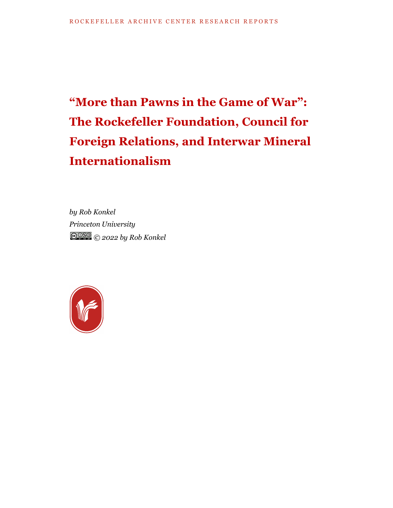# **"More than Pawns in the Game of War": The Rockefeller Foundation, Council for Foreign Relations, and Interwar Mineral Internationalism**

*by Rob Konkel Princeton University © 2022 by Rob Konkel*

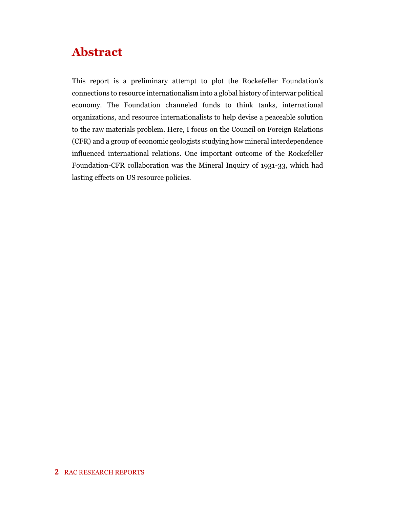## **Abstract**

This report is a preliminary attempt to plot the Rockefeller Foundation's connections to resource internationalism into a global history of interwar political economy. The Foundation channeled funds to think tanks, international organizations, and resource internationalists to help devise a peaceable solution to the raw materials problem. Here, I focus on the Council on Foreign Relations (CFR) and a group of economic geologists studying how mineral interdependence influenced international relations. One important outcome of the Rockefeller Foundation-CFR collaboration was the Mineral Inquiry of 1931-33, which had lasting effects on US resource policies.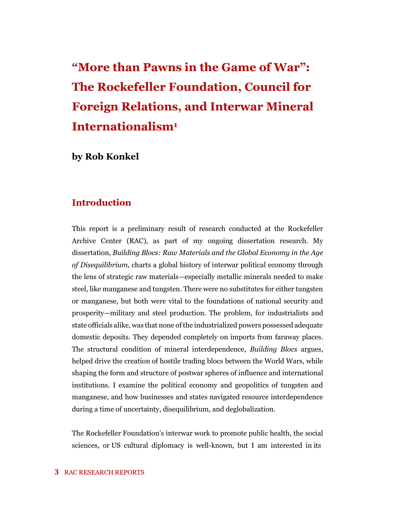## **"More than Pawns in the Game of War": The Rockefeller Foundation, Council for Foreign Relations, and Interwar Mineral Internationalism<sup>1</sup>**

**by Rob Konkel**

#### **Introduction**

This report is a preliminary result of research conducted at the Rockefeller Archive Center (RAC), as part of my ongoing dissertation research. My dissertation, *Building Blocs: Raw Materials and the Global Economy in the Age of Disequilibrium*, charts a global history of interwar political economy through the lens of strategic raw materials—especially metallic minerals needed to make steel, like manganese and tungsten. There were no substitutes for either tungsten or manganese, but both were vital to the foundations of national security and prosperity—military and steel production. The problem, for industrialists and state officials alike, was that none of the industrialized powers possessed adequate domestic deposits. They depended completely on imports from faraway places. The structural condition of mineral interdependence, *Building Blocs* argues, helped drive the creation of hostile trading blocs between the World Wars, while shaping the form and structure of postwar spheres of influence and international institutions. I examine the political economy and geopolitics of tungsten and manganese, and how businesses and states navigated resource interdependence during a time of uncertainty, disequilibrium, and deglobalization.

The Rockefeller Foundation's interwar work to promote public health, the social sciences, or US cultural diplomacy is well-known, but I am interested in its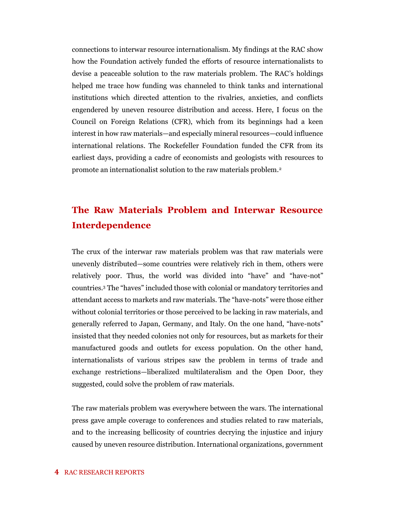connections to interwar resource internationalism. My findings at the RAC show how the Foundation actively funded the efforts of resource internationalists to devise a peaceable solution to the raw materials problem. The RAC's holdings helped me trace how funding was channeled to think tanks and international institutions which directed attention to the rivalries, anxieties, and conflicts engendered by uneven resource distribution and access. Here, I focus on the Council on Foreign Relations (CFR), which from its beginnings had a keen interest in how raw materials—and especially mineral resources—could influence international relations. The Rockefeller Foundation funded the CFR from its earliest days, providing a cadre of economists and geologists with resources to promote an internationalist solution to the raw materials problem.<sup>2</sup>

## **The Raw Materials Problem and Interwar Resource Interdependence**

The crux of the interwar raw materials problem was that raw materials were unevenly distributed—some countries were relatively rich in them, others were relatively poor. Thus, the world was divided into "have" and "have-not" countries.<sup>3</sup> The "haves" included those with colonial or mandatory territories and attendant access to markets and raw materials. The "have-nots" were those either without colonial territories or those perceived to be lacking in raw materials, and generally referred to Japan, Germany, and Italy. On the one hand, "have-nots" insisted that they needed colonies not only for resources, but as markets for their manufactured goods and outlets for excess population. On the other hand, internationalists of various stripes saw the problem in terms of trade and exchange restrictions—liberalized multilateralism and the Open Door, they suggested, could solve the problem of raw materials.

The raw materials problem was everywhere between the wars. The international press gave ample coverage to conferences and studies related to raw materials, and to the increasing bellicosity of countries decrying the injustice and injury caused by uneven resource distribution. International organizations, government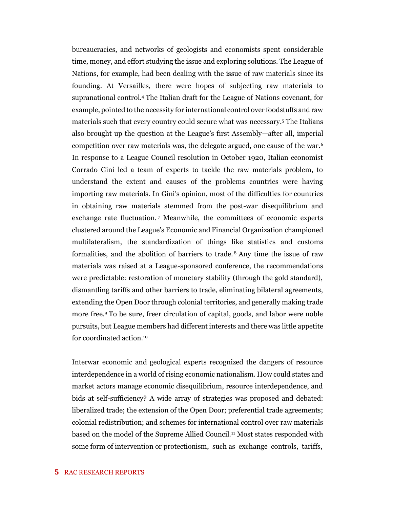bureaucracies, and networks of geologists and economists spent considerable time, money, and effort studying the issue and exploring solutions. The League of Nations, for example, had been dealing with the issue of raw materials since its founding. At Versailles, there were hopes of subjecting raw materials to supranational control.<sup>4</sup> The Italian draft for the League of Nations covenant, for example, pointed to the necessity for international control over foodstuffs and raw materials such that every country could secure what was necessary.<sup>5</sup> The Italians also brought up the question at the League's first Assembly—after all, imperial competition over raw materials was, the delegate argued, one cause of the war.<sup>6</sup> In response to a League Council resolution in October 1920, Italian economist Corrado Gini led a team of experts to tackle the raw materials problem, to understand the extent and causes of the problems countries were having importing raw materials. In Gini's opinion, most of the difficulties for countries in obtaining raw materials stemmed from the post-war disequilibrium and exchange rate fluctuation.<sup>7</sup> Meanwhile, the committees of economic experts clustered around the League's Economic and Financial Organization championed multilateralism, the standardization of things like statistics and customs formalities, and the abolition of barriers to trade. <sup>8</sup> Any time the issue of raw materials was raised at a League-sponsored conference, the recommendations were predictable: restoration of monetary stability (through the gold standard), dismantling tariffs and other barriers to trade, eliminating bilateral agreements, extending the Open Door through colonial territories, and generally making trade more free.<sup>9</sup> To be sure, freer circulation of capital, goods, and labor were noble pursuits, but League members had different interests and there was little appetite for coordinated action.<sup>10</sup>

Interwar economic and geological experts recognized the dangers of resource interdependence in a world of rising economic nationalism. How could states and market actors manage economic disequilibrium, resource interdependence, and bids at self-sufficiency? A wide array of strategies was proposed and debated: liberalized trade; the extension of the Open Door; preferential trade agreements; colonial redistribution; and schemes for international control over raw materials based on the model of the Supreme Allied Council.<sup>11</sup> Most states responded with some form of intervention or protectionism, such as exchange controls, tariffs,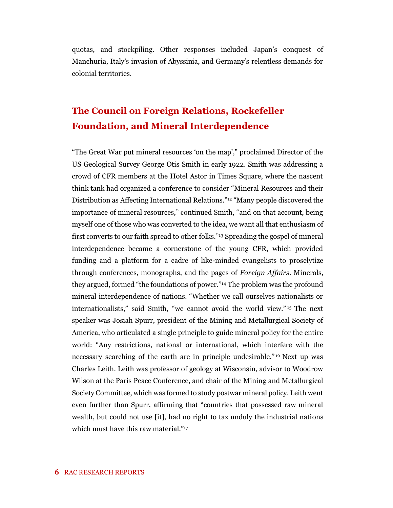quotas, and stockpiling. Other responses included Japan's conquest of Manchuria, Italy's invasion of Abyssinia, and Germany's relentless demands for colonial territories.

## **The Council on Foreign Relations, Rockefeller Foundation, and Mineral Interdependence**

"The Great War put mineral resources 'on the map'," proclaimed Director of the US Geological Survey George Otis Smith in early 1922. Smith was addressing a crowd of CFR members at the Hotel Astor in Times Square, where the nascent think tank had organized a conference to consider "Mineral Resources and their Distribution as Affecting International Relations."<sup>12</sup> "Many people discovered the importance of mineral resources," continued Smith, "and on that account, being myself one of those who was converted to the idea, we want all that enthusiasm of first converts to our faith spread to other folks."<sup>13</sup> Spreading the gospel of mineral interdependence became a cornerstone of the young CFR, which provided funding and a platform for a cadre of like-minded evangelists to proselytize through conferences, monographs, and the pages of *Foreign Affairs*. Minerals, they argued, formed "the foundations of power."<sup>14</sup> The problem was the profound mineral interdependence of nations. "Whether we call ourselves nationalists or internationalists," said Smith, "we cannot avoid the world view." <sup>15</sup> The next speaker was Josiah Spurr, president of the Mining and Metallurgical Society of America, who articulated a single principle to guide mineral policy for the entire world: "Any restrictions, national or international, which interfere with the necessary searching of the earth are in principle undesirable." <sup>16</sup> Next up was Charles Leith. Leith was professor of geology at Wisconsin, advisor to Woodrow Wilson at the Paris Peace Conference, and chair of the Mining and Metallurgical Society Committee, which was formed to study postwar mineral policy. Leith went even further than Spurr, affirming that "countries that possessed raw mineral wealth, but could not use [it], had no right to tax unduly the industrial nations which must have this raw material."<sup>17</sup>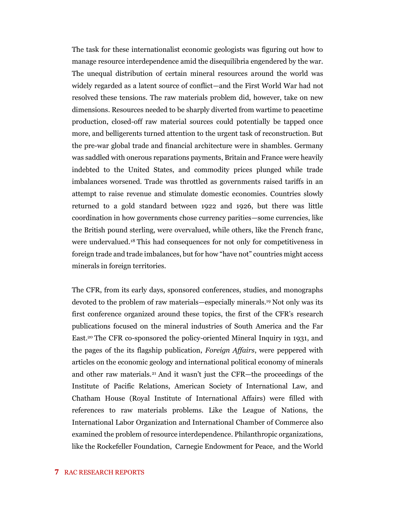The task for these internationalist economic geologists was figuring out how to manage resource interdependence amid the disequilibria engendered by the war. The unequal distribution of certain mineral resources around the world was widely regarded as a latent source of conflict—and the First World War had not resolved these tensions. The raw materials problem did, however, take on new dimensions. Resources needed to be sharply diverted from wartime to peacetime production, closed-off raw material sources could potentially be tapped once more, and belligerents turned attention to the urgent task of reconstruction. But the pre-war global trade and financial architecture were in shambles. Germany was saddled with onerous reparations payments, Britain and France were heavily indebted to the United States, and commodity prices plunged while trade imbalances worsened. Trade was throttled as governments raised tariffs in an attempt to raise revenue and stimulate domestic economies. Countries slowly returned to a gold standard between 1922 and 1926, but there was little coordination in how governments chose currency parities—some currencies, like the British pound sterling, were overvalued, while others, like the French franc, were undervalued.<sup>18</sup> This had consequences for not only for competitiveness in foreign trade and trade imbalances, but for how "have not" countries might access minerals in foreign territories.

The CFR, from its early days, sponsored conferences, studies, and monographs devoted to the problem of raw materials—especially minerals.<sup>19</sup> Not only was its first conference organized around these topics, the first of the CFR's research publications focused on the mineral industries of South America and the Far East.<sup>20</sup> The CFR co-sponsored the policy-oriented Mineral Inquiry in 1931, and the pages of the its flagship publication, *Foreign Affairs*, were peppered with articles on the economic geology and international political economy of minerals and other raw materials.<sup>21</sup> And it wasn't just the CFR—the proceedings of the Institute of Pacific Relations, American Society of International Law, and Chatham House (Royal Institute of International Affairs) were filled with references to raw materials problems. Like the League of Nations, the International Labor Organization and International Chamber of Commerce also examined the problem of resource interdependence. Philanthropic organizations, like the Rockefeller Foundation, Carnegie Endowment for Peace, and the World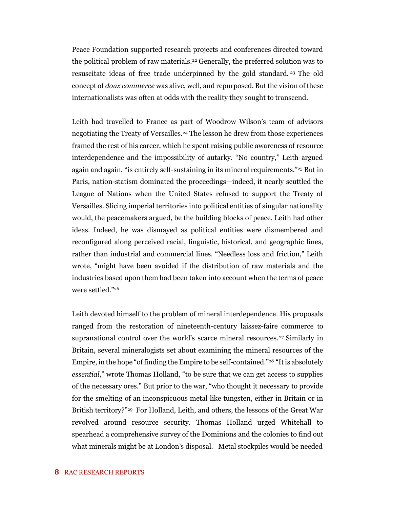Peace Foundation supported research projects and conferences directed toward the political problem of raw materials.<sup>22</sup> Generally, the preferred solution was to resuscitate ideas of free trade underpinned by the gold standard. <sup>23</sup> The old concept of *doux commerce* was alive, well, and repurposed. But the vision of these internationalists was often at odds with the reality they sought to transcend.

Leith had travelled to France as part of Woodrow Wilson's team of advisors negotiating the Treaty of Versailles.<sup>24</sup> The lesson he drew from those experiences framed the rest of his career, which he spent raising public awareness of resource interdependence and the impossibility of autarky. "No country," Leith argued again and again, "is entirely self-sustaining in its mineral requirements."<sup>25</sup> But in Paris, nation-statism dominated the proceedings—indeed, it nearly scuttled the League of Nations when the United States refused to support the Treaty of Versailles. Slicing imperial territories into political entities of singular nationality would, the peacemakers argued, be the building blocks of peace. Leith had other ideas. Indeed, he was dismayed as political entities were dismembered and reconfigured along perceived racial, linguistic, historical, and geographic lines, rather than industrial and commercial lines. "Needless loss and friction," Leith wrote, "might have been avoided if the distribution of raw materials and the industries based upon them had been taken into account when the terms of peace were settled."<sup>26</sup>

Leith devoted himself to the problem of mineral interdependence. His proposals ranged from the restoration of nineteenth-century laissez-faire commerce to supranational control over the world's scarce mineral resources.<sup>27</sup> Similarly in Britain, several mineralogists set about examining the mineral resources of the Empire, in the hope "of finding the Empire to be self-contained."<sup>28</sup> "It is absolutely *essential*," wrote Thomas Holland, "to be sure that we can get access to supplies of the necessary ores." But prior to the war, "who thought it necessary to provide for the smelting of an inconspicuous metal like tungsten, either in Britain or in British territory?"<sup>29</sup> For Holland, Leith, and others, the lessons of the Great War revolved around resource security. Thomas Holland urged Whitehall to spearhead a comprehensive survey of the Dominions and the colonies to find out what minerals might be at London's disposal. Metal stockpiles would be needed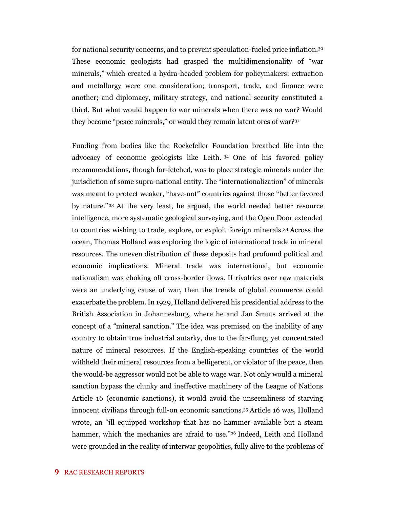for national security concerns, and to prevent speculation-fueled price inflation.<sup>30</sup> These economic geologists had grasped the multidimensionality of "war minerals," which created a hydra-headed problem for policymakers: extraction and metallurgy were one consideration; transport, trade, and finance were another; and diplomacy, military strategy, and national security constituted a third. But what would happen to war minerals when there was no war? Would they become "peace minerals," or would they remain latent ores of war?<sup>31</sup>

Funding from bodies like the Rockefeller Foundation breathed life into the advocacy of economic geologists like Leith. <sup>32</sup> One of his favored policy recommendations, though far-fetched, was to place strategic minerals under the jurisdiction of some supra-national entity. The "internationalization" of minerals was meant to protect weaker, "have-not" countries against those "better favored by nature." <sup>33</sup> At the very least, he argued, the world needed better resource intelligence, more systematic geological surveying, and the Open Door extended to countries wishing to trade, explore, or exploit foreign minerals.<sup>34</sup> Across the ocean, Thomas Holland was exploring the logic of international trade in mineral resources. The uneven distribution of these deposits had profound political and economic implications. Mineral trade was international, but economic nationalism was choking off cross-border flows. If rivalries over raw materials were an underlying cause of war, then the trends of global commerce could exacerbate the problem. In 1929, Holland delivered his presidential address to the British Association in Johannesburg, where he and Jan Smuts arrived at the concept of a "mineral sanction." The idea was premised on the inability of any country to obtain true industrial autarky, due to the far-flung, yet concentrated nature of mineral resources. If the English-speaking countries of the world withheld their mineral resources from a belligerent, or violator of the peace, then the would-be aggressor would not be able to wage war. Not only would a mineral sanction bypass the clunky and ineffective machinery of the League of Nations Article 16 (economic sanctions), it would avoid the unseemliness of starving innocent civilians through full-on economic sanctions.<sup>35</sup> Article 16 was, Holland wrote, an "ill equipped workshop that has no hammer available but a steam hammer, which the mechanics are afraid to use."<sup>36</sup> Indeed, Leith and Holland were grounded in the reality of interwar geopolitics, fully alive to the problems of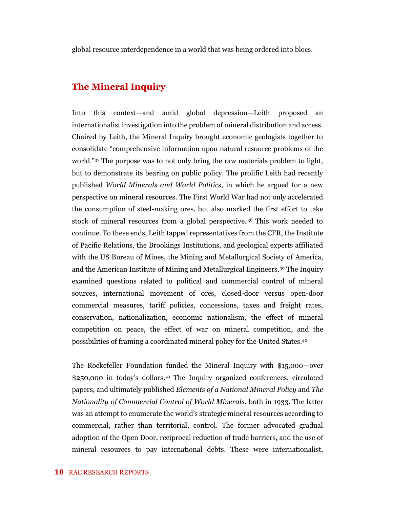global resource interdependence in a world that was being ordered into blocs.

### **The Mineral Inquiry**

Into this context—and amid global depression—Leith proposed an internationalist investigation into the problem of mineral distribution and access. Chaired by Leith, the Mineral Inquiry brought economic geologists together to consolidate "comprehensive information upon natural resource problems of the world."<sup>37</sup> The purpose was to not only bring the raw materials problem to light, but to demonstrate its bearing on public policy. The prolific Leith had recently published *World Minerals and World Politics*, in which he argued for a new perspective on mineral resources. The First World War had not only accelerated the consumption of steel-making ores, but also marked the first effort to take stock of mineral resources from a global perspective. <sup>38</sup> This work needed to continue. To these ends, Leith tapped representatives from the CFR, the Institute of Pacific Relations, the Brookings Institutions, and geological experts affiliated with the US Bureau of Mines, the Mining and Metallurgical Society of America, and the American Institute of Mining and Metallurgical Engineers.<sup>39</sup> The Inquiry examined questions related to political and commercial control of mineral sources, international movement of ores, closed-door versus open-door commercial measures, tariff policies, concessions, taxes and freight rates, conservation, nationalization, economic nationalism, the effect of mineral competition on peace, the effect of war on mineral competition, and the possibilities of framing a coordinated mineral policy for the United States.<sup>40</sup>

The Rockefeller Foundation funded the Mineral Inquiry with \$15,000—over \$250,000 in today's dollars. <sup>41</sup> The Inquiry organized conferences, circulated papers, and ultimately published *Elements of a National Mineral Policy* and *The Nationality of Commercial Control of World Minerals*, both in 1933. The latter was an attempt to enumerate the world's strategic mineral resources according to commercial, rather than territorial, control. The former advocated gradual adoption of the Open Door, reciprocal reduction of trade barriers, and the use of mineral resources to pay international debts. These were internationalist,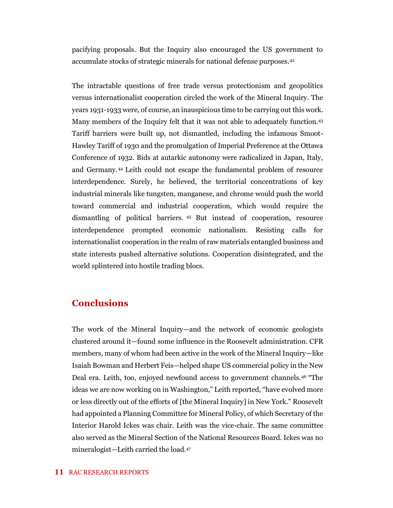pacifying proposals. But the Inquiry also encouraged the US government to accumulate stocks of strategic minerals for national defense purposes.<sup>42</sup>

The intractable questions of free trade versus protectionism and geopolitics versus internationalist cooperation circled the work of the Mineral Inquiry. The years 1931-1933 were, of course, an inauspicious time to be carrying out this work. Many members of the Inquiry felt that it was not able to adequately function.<sup>43</sup> Tariff barriers were built up, not dismantled, including the infamous Smoot-Hawley Tariff of 1930 and the promulgation of Imperial Preference at the Ottawa Conference of 1932. Bids at autarkic autonomy were radicalized in Japan, Italy, and Germany.<sup>44</sup> Leith could not escape the fundamental problem of resource interdependence. Surely, he believed, the territorial concentrations of key industrial minerals like tungsten, manganese, and chrome would push the world toward commercial and industrial cooperation, which would require the dismantling of political barriers. <sup>45</sup> But instead of cooperation, resource interdependence prompted economic nationalism. Resisting calls for internationalist cooperation in the realm of raw materials entangled business and state interests pushed alternative solutions. Cooperation disintegrated, and the world splintered into hostile trading blocs.

### **Conclusions**

The work of the Mineral Inquiry—and the network of economic geologists clustered around it—found some influence in the Roosevelt administration. CFR members, many of whom had been active in the work of the Mineral Inquiry—like Isaiah Bowman and Herbert Feis—helped shape US commercial policy in the New Deal era. Leith, too, enjoyed newfound access to government channels.<sup>46</sup> "The ideas we are now working on in Washington," Leith reported, "have evolved more or less directly out of the efforts of [the Mineral Inquiry] in New York." Roosevelt had appointed a Planning Committee for Mineral Policy, of which Secretary of the Interior Harold Ickes was chair. Leith was the vice-chair. The same committee also served as the Mineral Section of the National Resources Board. Ickes was no mineralogist—Leith carried the load.47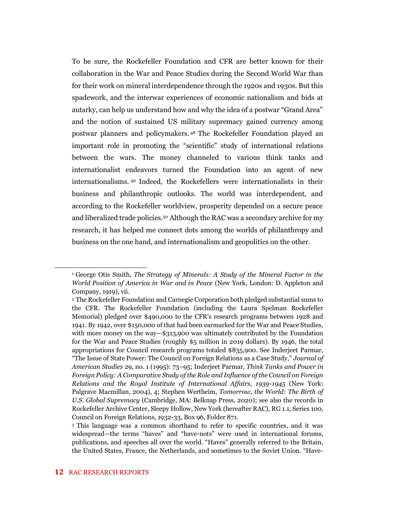To be sure, the Rockefeller Foundation and CFR are better known for their collaboration in the War and Peace Studies during the Second World War than for their work on mineral interdependence through the 1920s and 1930s. But this spadework, and the interwar experiences of economic nationalism and bids at autarky, can help us understand how and why the idea of a postwar "Grand Area" and the notion of sustained US military supremacy gained currency among postwar planners and policymakers. <sup>48</sup> The Rockefeller Foundation played an important role in promoting the "scientific" study of international relations between the wars. The money channeled to various think tanks and internationalist endeavors turned the Foundation into an agent of new internationalisms. <sup>49</sup> Indeed, the Rockefellers were internationalists in their business and philanthropic outlooks. The world was interdependent, and according to the Rockefeller worldview, prosperity depended on a secure peace and liberalized trade policies.<sup>50</sup> Although the RAC was a secondary archive for my research, it has helped me connect dots among the worlds of philanthropy and business on the one hand, and internationalism and geopolitics on the other.

<sup>1</sup> George Otis Smith, *The Strategy of Minerals: A Study of the Mineral Factor in the World Position of America in War and in Peace* (New York, London: D. Appleton and Company, 1919), vii.

<sup>2</sup> The Rockefeller Foundation and Carnegie Corporation both pledged substantial sums to the CFR. The Rockefeller Foundation (including the Laura Spelman Rockefeller Memorial) pledged over \$490,000 to the CFR's research programs between 1928 and 1941. By 1942, over \$150,000 of that had been earmarked for the War and Peace Studies, with more money on the way—\$313,900 was ultimately contributed by the Foundation for the War and Peace Studies (roughly \$5 million in 2019 dollars). By 1946, the total appropriations for Council research programs totaled \$835,900. See Inderjeet Parmar, "The Issue of State Power: The Council on Foreign Relations as a Case Study," *Journal of American Studies* 29, no. 1 (1995): 73–95; Inderjeet Parmar, *Think Tanks and Power in Foreign Policy: A Comparative Study of the Role and Influence of the Council on Foreign Relations and the Royal Institute of International Affairs, 1939-1945* (New York: Palgrave Macmillan, 2004), 4; Stephen Wertheim, *Tomorrow, the World: The Birth of U.S. Global Supremacy* (Cambridge, MA: Belknap Press, 2020); see also the records in Rockefeller Archive Center, Sleepy Hollow, New York (hereafter RAC), RG 1.1, Series 100, Council on Foreign Relations, 1932-33, Box 96, Folder 871.

<sup>3</sup> This language was a common shorthand to refer to specific countries, and it was widespread—the terms "haves" and "have-nots" were used in international forums, publications, and speeches all over the world. "Haves" generally referred to the Britain, the United States, France, the Netherlands, and sometimes to the Soviet Union. "Have-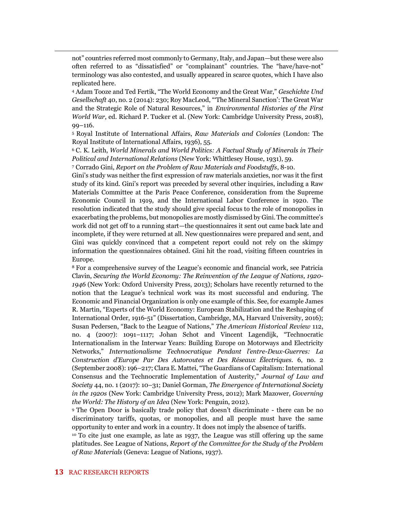not" countries referred most commonly to Germany, Italy, and Japan—but these were also often referred to as "dissatisfied" or "complainant" countries. The "have/have-not" terminology was also contested, and usually appeared in scarce quotes, which I have also replicated here.

<sup>4</sup> Adam Tooze and Ted Fertik, "The World Economy and the Great War," *Geschichte Und Gesellschaft* 40, no. 2 (2014): 230; Roy MacLeod, "'The Mineral Sanction': The Great War and the Strategic Role of Natural Resources," in *Environmental Histories of the First World War*, ed. Richard P. Tucker et al. (New York: Cambridge University Press, 2018), 99–116.

<sup>5</sup> Royal Institute of International Affairs, *Raw Materials and Colonies* (London: The Royal Institute of International Affairs, 1936), 55.

<sup>6</sup> C. K. Leith, *World Minerals and World Politics: A Factual Study of Minerals in Their Political and International Relations* (New York: Whittlesey House, 1931), 59.

<sup>7</sup> Corrado Gini, *Report on the Problem of Raw Materials and Foodstuffs*, 8-10.

Gini's study was neither the first expression of raw materials anxieties, nor was it the first study of its kind. Gini's report was preceded by several other inquiries, including a Raw Materials Committee at the Paris Peace Conference, consideration from the Supreme Economic Council in 1919, and the International Labor Conference in 1920. The resolution indicated that the study should give special focus to the role of monopolies in exacerbating the problems, but monopolies are mostly dismissed by Gini. The committee's work did not get off to a running start—the questionnaires it sent out came back late and incomplete, if they were returned at all. New questionnaires were prepared and sent, and Gini was quickly convinced that a competent report could not rely on the skimpy information the questionnaires obtained. Gini hit the road, visiting fifteen countries in Europe.

<sup>8</sup> For a comprehensive survey of the League's economic and financial work, see Patricia Clavin, *Securing the World Economy: The Reinvention of the League of Nations, 1920- 1946* (New York: Oxford University Press, 2013); Scholars have recently returned to the notion that the League's technical work was its most successful and enduring. The Economic and Financial Organization is only one example of this. See, for example James R. Martin, "Experts of the World Economy: European Stabilization and the Reshaping of International Order, 1916-51" (Dissertation, Cambridge, MA, Harvard University, 2016); Susan Pedersen, "Back to the League of Nations," *The American Historical Review* 112, no. 4 (2007): 1091–1117; Johan Schot and Vincent Lagendijk, "Technocratic Internationalism in the Interwar Years: Building Europe on Motorways and Electricity Networks," *Internationalisme Technocratique Pendant l'entre-Deux-Guerres: La Construction d'Europe Par Des Autoroutes et Des Réseaux Électriques.* 6, no. 2 (September 2008): 196–217; Clara E. Mattei, "The Guardians of Capitalism: International Consensus and the Technocratic Implementation of Austerity," *Journal of Law and Society* 44, no. 1 (2017): 10–31; Daniel Gorman, *The Emergence of International Society in the 1920s* (New York: Cambridge University Press, 2012); Mark Mazower, *Governing the World: The History of an Idea* (New York: Penguin, 2012).

<sup>9</sup> The Open Door is basically trade policy that doesn't discriminate - there can be no discriminatory tariffs, quotas, or monopolies, and all people must have the same opportunity to enter and work in a country. It does not imply the absence of tariffs.

<sup>10</sup> To cite just one example, as late as 1937, the League was still offering up the same platitudes. See League of Nations, *Report of the Committee for the Study of the Problem of Raw Materials* (Geneva: League of Nations, 1937).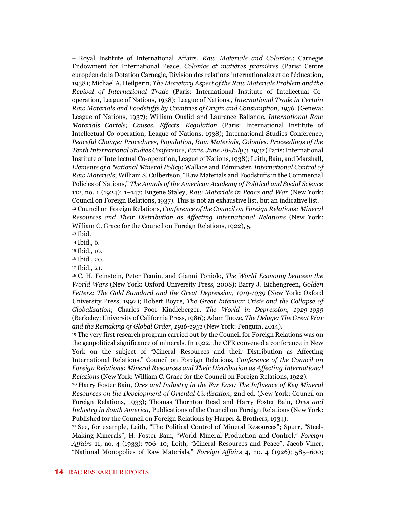<sup>11</sup> Royal Institute of International Affairs, *Raw Materials and Colonies.*; Carnegie Endowment for International Peace, *Colonies et matières premières* (Paris: Centre européen de la Dotation Carnegie, Division des relations internationales et de l'éducation, 1938); Michael A. Heilperin, *The Monetary Aspect of the Raw Materials Problem and the Revival of International Trade* (Paris: International Institute of Intellectual Cooperation, League of Nations, 1938); League of Nations., *International Trade in Certain Raw Materials and Foodstuffs by Countries of Origin and Consumption, 1936.* (Geneva: League of Nations, 1937); William Oualid and Laurence Ballande, *International Raw Materials Cartels; Causes, Effects, Regulation* (Paris: International Institute of Intellectual Co-operation, League of Nations, 1938); International Studies Conference, *Peaceful Change: Procedures, Population, Raw Materials, Colonies. Proceedings of the Tenth International Studies Conference, Paris, June 28-July 3, 1937* (Paris: International Institute of Intellectual Co-operation, League of Nations, 1938); Leith, Bain, and Marshall, *Elements of a National Mineral Policy*; Wallace and Edminster, *International Control of Raw Materials*; William S. Culbertson, "Raw Materials and Foodstuffs in the Commercial Policies of Nations," *The Annals of the American Academy of Political and Social Science* 112, no. 1 (1924): 1–147; Eugene Staley, *Raw Materials in Peace and War* (New York: Council on Foreign Relations, 1937). This is not an exhaustive list, but an indicative list. <sup>12</sup> Council on Foreign Relations, *Conference of the Council on Foreign Relations: Mineral Resources and Their Distribution as Affecting International Relations* (New York: William C. Grace for the Council on Foreign Relations, 1922), 5.

<sup>13</sup> Ibid.

<sup>14</sup> Ibid., 6.

<sup>15</sup> Ibid., 10.

<sup>16</sup> Ibid., 20.

<sup>17</sup> Ibid., 21.

<sup>18</sup> C. H. Feinstein, Peter Temin, and Gianni Toniolo, *The World Economy between the World Wars* (New York: Oxford University Press, 2008); Barry J. Eichengreen, *Golden Fetters: The Gold Standard and the Great Depression, 1919-1939* (New York: Oxford University Press, 1992); Robert Boyce, *The Great Interwar Crisis and the Collapse of Globalization*; Charles Poor Kindleberger, *The World in Depression, 1929-1939* (Berkeley: University of California Press, 1986); Adam Tooze, *The Deluge: The Great War and the Remaking of Global Order, 1916-1931* (New York: Penguin, 2014).

<sup>19</sup> The very first research program carried out by the Council for Foreign Relations was on the geopolitical significance of minerals. In 1922, the CFR convened a conference in New York on the subject of "Mineral Resources and their Distribution as Affecting International Relations." Council on Foreign Relations, *Conference of the Council on Foreign Relations: Mineral Resources and Their Distribution as Affecting International Relations* (New York: William C. Grace for the Council on Foreign Relations, 1922).

<sup>20</sup> Harry Foster Bain, *Ores and Industry in the Far East: The Influence of Key Mineral Resources on the Development of Oriental Civilization*, 2nd ed. (New York: Council on Foreign Relations, 1933); Thomas Thornton Read and Harry Foster Bain, *Ores and Industry in South America*, Publications of the Council on Foreign Relations (New York: Published for the Council on Foreign Relations by Harper & Brothers, 1934).

<sup>21</sup> See, for example, Leith, "The Political Control of Mineral Resources"; Spurr, "Steel-Making Minerals"; H. Foster Bain, "World Mineral Production and Control," *Foreign Affairs* 11, no. 4 (1933): 706–10; Leith, "Mineral Resources and Peace"; Jacob Viner, "National Monopolies of Raw Materials," *Foreign Affairs* 4, no. 4 (1926): 585–600;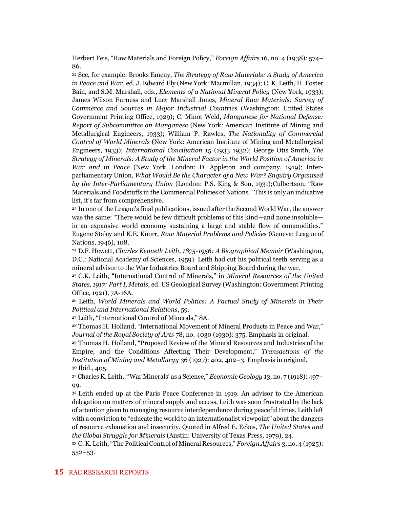Herbert Feis, "Raw Materials and Foreign Policy," *Foreign Affairs* 16, no. 4 (1938): 574– 86.

<sup>22</sup> See, for example: Brooks Emeny, *The Strategy of Raw Materials: A Study of America in Peace and War*, ed. J. Edward Ely (New York: Macmillan, 1934); C. K. Leith, H. Foster Bain, and S.M. Marshall, eds., *Elements of a National Mineral Policy* (New York, 1933); James Wilson Furness and Lucy Marshall Jones, *Mineral Raw Materials: Survey of Commerce and Sources in Major Industrial Countries* (Washington: United States Government Printing Office, 1929); C. Minot Weld, *Manganese for National Defense: Report of Subcommittee on Manganese* (New York: American Institute of Mining and Metallurgical Engineers, 1933); William P. Rawles, *The Nationality of Commercial Control of World Minerals* (New York: American Institute of Mining and Metallurgical Engineers, 1933); *International Conciliation* 15 (1933 1932); George Otis Smith, *The Strategy of Minerals: A Study of the Mineral Factor in the World Position of America in War and in Peace* (New York, London: D. Appleton and company, 1919); Interparliamentary Union, *What Would Be the Character of a New War? Enquiry Organised by the Inter-Parliamentary Union* (London: P.S. King & Son, 1931);Culbertson, "Raw Materials and Foodstuffs in the Commercial Policies of Nations." This is only an indicative list, it's far from comprehensive.

<sup>23</sup> In one of the League's final publications, issued after the Second World War, the answer was the same: "There would be few difficult problems of this kind—and none insoluble in an expansive world economy sustaining a large and stable flow of commodities." Eugene Staley and K.E. Knorr, *Raw Material Problems and Policies* (Geneva: League of Nations, 1946), 108.

<sup>24</sup> D.F. Hewett, *Charles Kenneth Leith, 1875-1956: A Biographical Memoir* (Washington, D.C.: National Academy of Sciences, 1959). Leith had cut his political teeth serving as a mineral advisor to the War Industries Board and Shipping Board during the war.

<sup>25</sup> C.K. Leith, "International Control of Minerals," in *Mineral Resources of the United States, 1917: Part I, Metals*, ed. US Geological Survey (Washington: Government Printing Office, 1921), 7A-16A.

<sup>26</sup> Leith, *World Minerals and World Politics: A Factual Study of Minerals in Their Political and International Relations*, 59.

<sup>27</sup> Leith, "International Control of Minerals," 8A.

<sup>28</sup> Thomas H. Holland, "International Movement of Mineral Products in Peace and War," *Journal of the Royal Society of Arts* 78, no. 4030 (1930): 375. Emphasis in original.

<sup>29</sup> Thomas H. Holland, "Proposed Review of the Mineral Resources and Industries of the Empire, and the Conditions Affecting Their Development," *Transactions of the Institution of Mining and Metallurgy* 36 (1927): 402, 402–3. Emphasis in original. <sup>30</sup> Ibid., 405.

<sup>31</sup> Charles K. Leith, "'War Minerals' as a Science," *Economic Geology* 13, no. 7 (1918): 497– 99.

<sup>32</sup> Leith ended up at the Paris Peace Conference in 1919. An advisor to the American delegation on matters of mineral supply and access, Leith was soon frustrated by the lack of attention given to managing resource interdependence during peaceful times. Leith left with a conviction to "educate the world to an internationalist viewpoint" about the dangers of resource exhaustion and insecurity. Quoted in Alfred E. Eckes, *The United States and the Global Struggle for Minerals* (Austin: University of Texas Press, 1979), 24.

<sup>33</sup> C. K. Leith, "The Political Control of Mineral Resources," *Foreign Affairs* 3, no. 4 (1925): 552–53.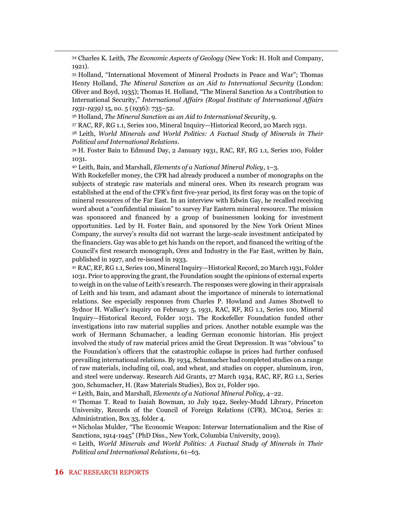<sup>34</sup> Charles K. Leith, *The Economic Aspects of Geology* (New York: H. Holt and Company, 1921).

<sup>35</sup> Holland, "International Movement of Mineral Products in Peace and War"; Thomas Henry Holland, *The Mineral Sanction as an Aid to International Security* (London: Oliver and Boyd, 1935); Thomas H. Holland, "The Mineral Sanction As a Contribution to International Security," *International Affairs (Royal Institute of International Affairs 1931-1939)* 15, no. 5 (1936): 735–52.

<sup>36</sup> Holland, *The Mineral Sanction as an Aid to International Security*, 9.

<sup>37</sup> RAC, RF, RG 1.1, Series 100, Mineral Inquiry—Historical Record, 20 March 1931.

<sup>38</sup> Leith, *World Minerals and World Politics: A Factual Study of Minerals in Their Political and International Relations*.

<sup>39</sup> H. Foster Bain to Edmund Day, 2 January 1931, RAC, RF, RG 1.1, Series 100, Folder 1031.

<sup>40</sup> Leith, Bain, and Marshall, *Elements of a National Mineral Policy*, 1–3.

With Rockefeller money, the CFR had already produced a number of monographs on the subjects of strategic raw materials and mineral ores. When its research program was established at the end of the CFR's first five-year period, its first foray was on the topic of mineral resources of the Far East. In an interview with Edwin Gay, he recalled receiving word about a "confidential mission" to survey Far Eastern mineral resource. The mission was sponsored and financed by a group of businessmen looking for investment opportunities. Led by H. Foster Bain, and sponsored by the New York Orient Mines Company, the survey's results did not warrant the large-scale investment anticipated by the financiers. Gay was able to get his hands on the report, and financed the writing of the Council's first research monograph, Ores and Industry in the Far East, written by Bain, published in 1927, and re-issued in 1933.

<sup>41</sup> RAC, RF, RG 1.1, Series 100, Mineral Inquiry—Historical Record, 20 March 1931, Folder 1031. Prior to approving the grant, the Foundation sought the opinions of external experts to weigh in on the value of Leith's research. The responses were glowing in their appraisals of Leith and his team, and adamant about the importance of minerals to international relations. See especially responses from Charles P. Howland and James Shotwell to Sydnor H. Walker's inquiry on February 5, 1931, RAC, RF, RG 1.1, Series 100, Mineral Inquiry—Historical Record, Folder 1031. The Rockefeller Foundation funded other investigations into raw material supplies and prices. Another notable example was the work of Hermann Schumacher, a leading German economic historian. His project involved the study of raw material prices amid the Great Depression. It was "obvious" to the Foundation's officers that the catastrophic collapse in prices had further confused prevailing international relations. By 1934, Schumacher had completed studies on a range of raw materials, including oil, coal, and wheat, and studies on copper, aluminum, iron, and steel were underway. Research Aid Grants, 27 March 1934, RAC, RF, RG 1.1, Series 300, Schumacher, H. (Raw Materials Studies), Box 21, Folder 190.

<sup>42</sup> Leith, Bain, and Marshall, *Elements of a National Mineral Policy*, 4–22.

<sup>43</sup> Thomas T. Read to Isaiah Bowman, 10 July 1942, Seeley-Mudd Library, Princeton University, Records of the Council of Foreign Relations (CFR), MC104, Series 2: Administration, Box 33, folder 4.

<sup>44</sup> Nicholas Mulder, "The Economic Weapon: Interwar Internationalism and the Rise of Sanctions, 1914-1945" (PhD Diss., New York, Columbia University, 2019).

<sup>45</sup> Leith, *World Minerals and World Politics: A Factual Study of Minerals in Their Political and International Relations*, 61–63.